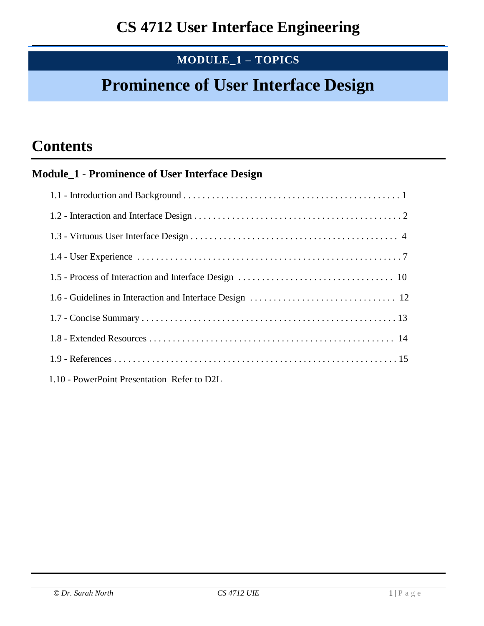# **MODULE\_1 – TOPICS**

# **Prominence of User Interface Design**

# **Contents**

# **Module\_1 - Prominence of User Interface Design**

| 1.10 - PowerPoint Presentation–Refer to D2L |
|---------------------------------------------|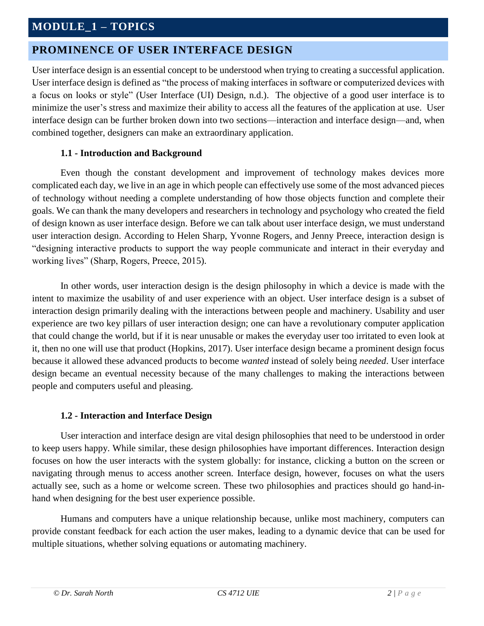# **MODULE\_1 – TOPICS**

# **PROMINENCE OF USER INTERFACE DESIGN**

User interface design is an essential concept to be understood when trying to creating a successful application. User interface design is defined as "the process of making interfaces in software or computerized devices with a focus on looks or style" (User Interface (UI) Design, n.d.). The objective of a good user interface is to minimize the user's stress and maximize their ability to access all the features of the application at use. User interface design can be further broken down into two sections—interaction and interface design—and, when combined together, designers can make an extraordinary application.

#### **1.1 - Introduction and Background**

Even though the constant development and improvement of technology makes devices more complicated each day, we live in an age in which people can effectively use some of the most advanced pieces of technology without needing a complete understanding of how those objects function and complete their goals. We can thank the many developers and researchers in technology and psychology who created the field of design known as user interface design. Before we can talk about user interface design, we must understand user interaction design. According to Helen Sharp, Yvonne Rogers, and Jenny Preece, interaction design is "designing interactive products to support the way people communicate and interact in their everyday and working lives" (Sharp, Rogers, Preece, 2015).

In other words, user interaction design is the design philosophy in which a device is made with the intent to maximize the usability of and user experience with an object. User interface design is a subset of interaction design primarily dealing with the interactions between people and machinery. Usability and user experience are two key pillars of user interaction design; one can have a revolutionary computer application that could change the world, but if it is near unusable or makes the everyday user too irritated to even look at it, then no one will use that product (Hopkins, 2017). User interface design became a prominent design focus because it allowed these advanced products to become *wanted* instead of solely being *needed*. User interface design became an eventual necessity because of the many challenges to making the interactions between people and computers useful and pleasing.

#### **1.2 - Interaction and Interface Design**

User interaction and interface design are vital design philosophies that need to be understood in order to keep users happy. While similar, these design philosophies have important differences. Interaction design focuses on how the user interacts with the system globally: for instance, clicking a button on the screen or navigating through menus to access another screen. Interface design, however, focuses on what the users actually see, such as a home or welcome screen. These two philosophies and practices should go hand-inhand when designing for the best user experience possible.

Humans and computers have a unique relationship because, unlike most machinery, computers can provide constant feedback for each action the user makes, leading to a dynamic device that can be used for multiple situations, whether solving equations or automating machinery.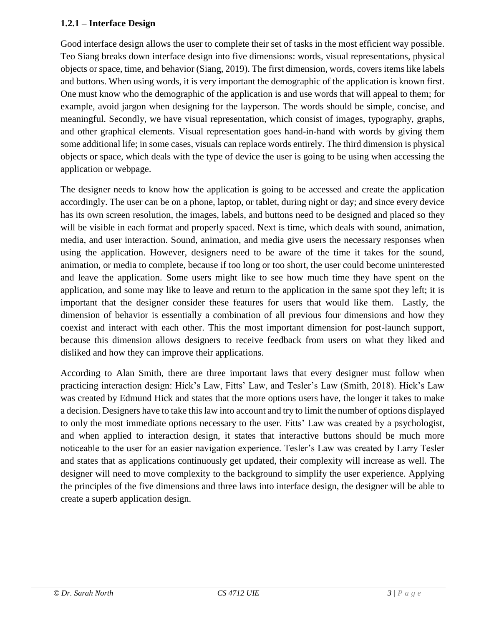### **1.2.1 – Interface Design**

Good interface design allows the user to complete their set of tasks in the most efficient way possible. Teo Siang breaks down interface design into five dimensions: words, visual representations, physical objects or space, time, and behavior (Siang, 2019). The first dimension, words, covers items like labels and buttons. When using words, it is very important the demographic of the application is known first. One must know who the demographic of the application is and use words that will appeal to them; for example, avoid jargon when designing for the layperson. The words should be simple, concise, and meaningful. Secondly, we have visual representation, which consist of images, typography, graphs, and other graphical elements. Visual representation goes hand-in-hand with words by giving them some additional life; in some cases, visuals can replace words entirely. The third dimension is physical objects or space, which deals with the type of device the user is going to be using when accessing the application or webpage.

The designer needs to know how the application is going to be accessed and create the application accordingly. The user can be on a phone, laptop, or tablet, during night or day; and since every device has its own screen resolution, the images, labels, and buttons need to be designed and placed so they will be visible in each format and properly spaced. Next is time, which deals with sound, animation, media, and user interaction. Sound, animation, and media give users the necessary responses when using the application. However, designers need to be aware of the time it takes for the sound, animation, or media to complete, because if too long or too short, the user could become uninterested and leave the application. Some users might like to see how much time they have spent on the application, and some may like to leave and return to the application in the same spot they left; it is important that the designer consider these features for users that would like them. Lastly, the dimension of behavior is essentially a combination of all previous four dimensions and how they coexist and interact with each other. This the most important dimension for post-launch support, because this dimension allows designers to receive feedback from users on what they liked and disliked and how they can improve their applications.

According to Alan Smith, there are three important laws that every designer must follow when practicing interaction design: Hick's Law, Fitts' Law, and Tesler's Law (Smith, 2018). Hick's Law was created by Edmund Hick and states that the more options users have, the longer it takes to make a decision. Designers have to take this law into account and try to limit the number of options displayed to only the most immediate options necessary to the user. Fitts' Law was created by a psychologist, and when applied to interaction design, it states that interactive buttons should be much more noticeable to the user for an easier navigation experience. Tesler's Law was created by Larry Tesler and states that as applications continuously get updated, their complexity will increase as well. The designer will need to move complexity to the background to simplify the user experience. Applying the principles of the five dimensions and three laws into interface design, the designer will be able to create a superb application design.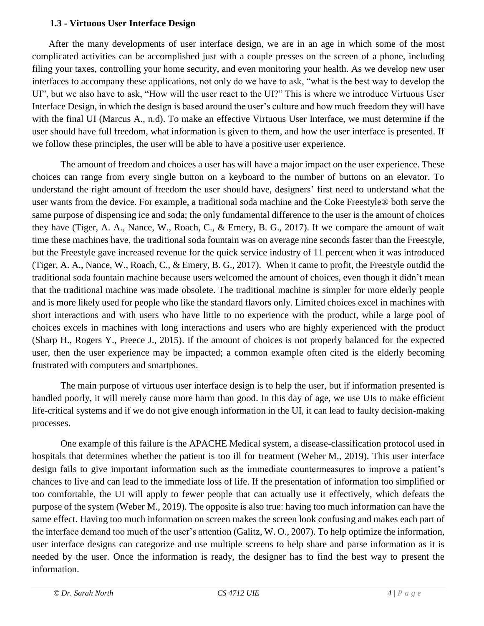#### **1.3 - Virtuous User Interface Design**

 After the many developments of user interface design, we are in an age in which some of the most complicated activities can be accomplished just with a couple presses on the screen of a phone, including filing your taxes, controlling your home security, and even monitoring your health. As we develop new user interfaces to accompany these applications, not only do we have to ask, "what is the best way to develop the UI", but we also have to ask, "How will the user react to the UI?" This is where we introduce Virtuous User Interface Design, in which the design is based around the user's culture and how much freedom they will have with the final UI (Marcus A., n.d). To make an effective Virtuous User Interface, we must determine if the user should have full freedom, what information is given to them, and how the user interface is presented. If we follow these principles, the user will be able to have a positive user experience.

The amount of freedom and choices a user has will have a major impact on the user experience. These choices can range from every single button on a keyboard to the number of buttons on an elevator. To understand the right amount of freedom the user should have, designers' first need to understand what the user wants from the device. For example, a traditional soda machine and the Coke Freestyle® both serve the same purpose of dispensing ice and soda; the only fundamental difference to the user is the amount of choices they have (Tiger, A. A., Nance, W., Roach, C., & Emery, B. G., 2017). If we compare the amount of wait time these machines have, the traditional soda fountain was on average nine seconds faster than the Freestyle, but the Freestyle gave increased revenue for the quick service industry of 11 percent when it was introduced (Tiger, A. A., Nance, W., Roach, C., & Emery, B. G., 2017). When it came to profit, the Freestyle outdid the traditional soda fountain machine because users welcomed the amount of choices, even though it didn't mean that the traditional machine was made obsolete. The traditional machine is simpler for more elderly people and is more likely used for people who like the standard flavors only. Limited choices excel in machines with short interactions and with users who have little to no experience with the product, while a large pool of choices excels in machines with long interactions and users who are highly experienced with the product (Sharp H., Rogers Y., Preece J., 2015). If the amount of choices is not properly balanced for the expected user, then the user experience may be impacted; a common example often cited is the elderly becoming frustrated with computers and smartphones.

The main purpose of virtuous user interface design is to help the user, but if information presented is handled poorly, it will merely cause more harm than good. In this day of age, we use UIs to make efficient life-critical systems and if we do not give enough information in the UI, it can lead to faulty decision-making processes.

One example of this failure is the APACHE Medical system, a disease-classification protocol used in hospitals that determines whether the patient is too ill for treatment (Weber M., 2019). This user interface design fails to give important information such as the immediate countermeasures to improve a patient's chances to live and can lead to the immediate loss of life. If the presentation of information too simplified or too comfortable, the UI will apply to fewer people that can actually use it effectively, which defeats the purpose of the system (Weber M., 2019). The opposite is also true: having too much information can have the same effect. Having too much information on screen makes the screen look confusing and makes each part of the interface demand too much of the user's attention (Galitz, W. O., 2007). To help optimize the information, user interface designs can categorize and use multiple screens to help share and parse information as it is needed by the user. Once the information is ready, the designer has to find the best way to present the information.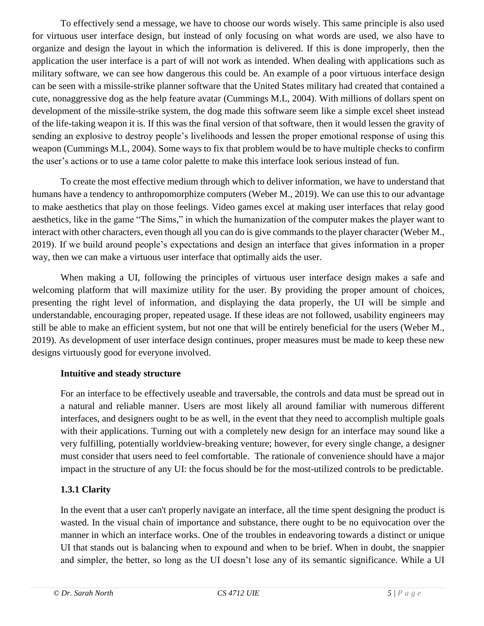To effectively send a message, we have to choose our words wisely. This same principle is also used for virtuous user interface design, but instead of only focusing on what words are used, we also have to organize and design the layout in which the information is delivered. If this is done improperly, then the application the user interface is a part of will not work as intended. When dealing with applications such as military software, we can see how dangerous this could be. An example of a poor virtuous interface design can be seen with a missile-strike planner software that the United States military had created that contained a cute, nonaggressive dog as the help feature avatar (Cummings M.L, 2004). With millions of dollars spent on development of the missile-strike system, the dog made this software seem like a simple excel sheet instead of the life-taking weapon it is. If this was the final version of that software, then it would lessen the gravity of sending an explosive to destroy people's livelihoods and lessen the proper emotional response of using this weapon (Cummings M.L, 2004). Some ways to fix that problem would be to have multiple checks to confirm the user's actions or to use a tame color palette to make this interface look serious instead of fun.

To create the most effective medium through which to deliver information, we have to understand that humans have a tendency to anthropomorphize computers (Weber M., 2019). We can use this to our advantage to make aesthetics that play on those feelings. Video games excel at making user interfaces that relay good aesthetics, like in the game "The Sims," in which the humanization of the computer makes the player want to interact with other characters, even though all you can do is give commands to the player character (Weber M., 2019). If we build around people's expectations and design an interface that gives information in a proper way, then we can make a virtuous user interface that optimally aids the user.

When making a UI, following the principles of virtuous user interface design makes a safe and welcoming platform that will maximize utility for the user. By providing the proper amount of choices, presenting the right level of information, and displaying the data properly, the UI will be simple and understandable, encouraging proper, repeated usage. If these ideas are not followed, usability engineers may still be able to make an efficient system, but not one that will be entirely beneficial for the users (Weber M., 2019). As development of user interface design continues, proper measures must be made to keep these new designs virtuously good for everyone involved.

#### **Intuitive and steady structure**

For an interface to be effectively useable and traversable, the controls and data must be spread out in a natural and reliable manner. Users are most likely all around familiar with numerous different interfaces, and designers ought to be as well, in the event that they need to accomplish multiple goals with their applications. Turning out with a completely new design for an interface may sound like a very fulfilling, potentially worldview-breaking venture; however, for every single change, a designer must consider that users need to feel comfortable. The rationale of convenience should have a major impact in the structure of any UI: the focus should be for the most-utilized controls to be predictable.

# **1.3.1 Clarity**

In the event that a user can't properly navigate an interface, all the time spent designing the product is wasted. In the visual chain of importance and substance, there ought to be no equivocation over the manner in which an interface works. One of the troubles in endeavoring towards a distinct or unique UI that stands out is balancing when to expound and when to be brief. When in doubt, the snappier and simpler, the better, so long as the UI doesn't lose any of its semantic significance. While a UI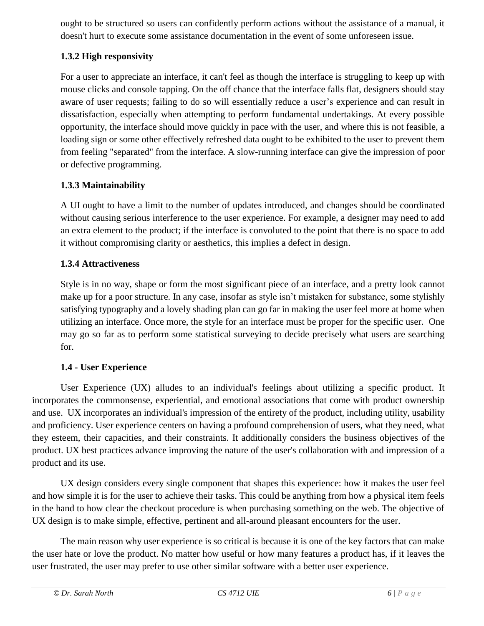ought to be structured so users can confidently perform actions without the assistance of a manual, it doesn't hurt to execute some assistance documentation in the event of some unforeseen issue.

# **1.3.2 High responsivity**

For a user to appreciate an interface, it can't feel as though the interface is struggling to keep up with mouse clicks and console tapping. On the off chance that the interface falls flat, designers should stay aware of user requests; failing to do so will essentially reduce a user's experience and can result in dissatisfaction, especially when attempting to perform fundamental undertakings. At every possible opportunity, the interface should move quickly in pace with the user, and where this is not feasible, a loading sign or some other effectively refreshed data ought to be exhibited to the user to prevent them from feeling "separated" from the interface. A slow-running interface can give the impression of poor or defective programming.

# **1.3.3 Maintainability**

A UI ought to have a limit to the number of updates introduced, and changes should be coordinated without causing serious interference to the user experience. For example, a designer may need to add an extra element to the product; if the interface is convoluted to the point that there is no space to add it without compromising clarity or aesthetics, this implies a defect in design.

# **1.3.4 Attractiveness**

Style is in no way, shape or form the most significant piece of an interface, and a pretty look cannot make up for a poor structure. In any case, insofar as style isn't mistaken for substance, some stylishly satisfying typography and a lovely shading plan can go far in making the user feel more at home when utilizing an interface. Once more, the style for an interface must be proper for the specific user. One may go so far as to perform some statistical surveying to decide precisely what users are searching for.

# **1.4 - User Experience**

 User Experience (UX) alludes to an individual's feelings about utilizing a specific product. It incorporates the commonsense, experiential, and emotional associations that come with product ownership and use. UX incorporates an individual's impression of the entirety of the product, including utility, usability and proficiency. User experience centers on having a profound comprehension of users, what they need, what they esteem, their capacities, and their constraints. It additionally considers the business objectives of the product. UX best practices advance improving the nature of the user's collaboration with and impression of a product and its use.

 UX design considers every single component that shapes this experience: how it makes the user feel and how simple it is for the user to achieve their tasks. This could be anything from how a physical item feels in the hand to how clear the checkout procedure is when purchasing something on the web. The objective of UX design is to make simple, effective, pertinent and all-around pleasant encounters for the user.

The main reason why user experience is so critical is because it is one of the key factors that can make the user hate or love the product. No matter how useful or how many features a product has, if it leaves the user frustrated, the user may prefer to use other similar software with a better user experience.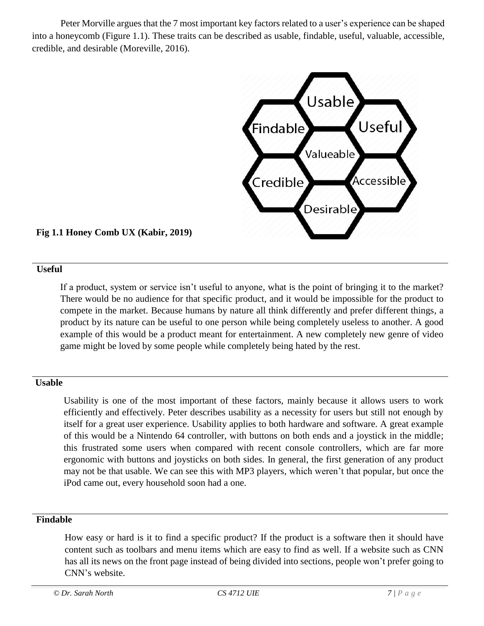Peter Morville argues that the 7 most important key factors related to a user's experience can be shaped into a honeycomb (Figure 1.1). These traits can be described as usable, findable, useful, valuable, accessible, credible, and desirable (Moreville, 2016).



# **Fig 1.1 Honey Comb UX (Kabir, 2019)**

#### **Useful**

If a product, system or service isn't useful to anyone, what is the point of bringing it to the market? There would be no audience for that specific product, and it would be impossible for the product to compete in the market. Because humans by nature all think differently and prefer different things, a product by its nature can be useful to one person while being completely useless to another. A good example of this would be a product meant for entertainment. A new completely new genre of video game might be loved by some people while completely being hated by the rest.

#### **Usable**

Usability is one of the most important of these factors, mainly because it allows users to work efficiently and effectively. Peter describes usability as a necessity for users but still not enough by itself for a great user experience. Usability applies to both hardware and software. A great example of this would be a Nintendo 64 controller, with buttons on both ends and a joystick in the middle; this frustrated some users when compared with recent console controllers, which are far more ergonomic with buttons and joysticks on both sides. In general, the first generation of any product may not be that usable. We can see this with MP3 players, which weren't that popular, but once the iPod came out, every household soon had a one.

#### **Findable**

How easy or hard is it to find a specific product? If the product is a software then it should have content such as toolbars and menu items which are easy to find as well. If a website such as CNN has all its news on the front page instead of being divided into sections, people won't prefer going to CNN's website.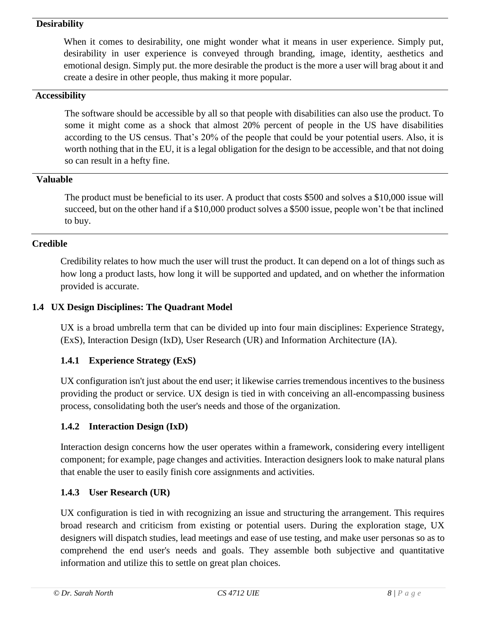#### **Desirability**

When it comes to desirability, one might wonder what it means in user experience. Simply put, desirability in user experience is conveyed through branding, image, identity, aesthetics and emotional design. Simply put. the more desirable the product is the more a user will brag about it and create a desire in other people, thus making it more popular.

#### **Accessibility**

The software should be accessible by all so that people with disabilities can also use the product. To some it might come as a shock that almost 20% percent of people in the US have disabilities according to the US census. That's 20% of the people that could be your potential users. Also, it is worth nothing that in the EU, it is a legal obligation for the design to be accessible, and that not doing so can result in a hefty fine.

#### **Valuable**

The product must be beneficial to its user. A product that costs \$500 and solves a \$10,000 issue will succeed, but on the other hand if a \$10,000 product solves a \$500 issue, people won't be that inclined to buy.

#### **Credible**

Credibility relates to how much the user will trust the product. It can depend on a lot of things such as how long a product lasts, how long it will be supported and updated, and on whether the information provided is accurate.

#### **1.4 UX Design Disciplines: The Quadrant Model**

UX is a broad umbrella term that can be divided up into four main disciplines: Experience Strategy, (ExS), Interaction Design (IxD), User Research (UR) and Information Architecture (IA).

#### **1.4.1 Experience Strategy (ExS)**

UX configuration isn't just about the end user; it likewise carries tremendous incentives to the business providing the product or service. UX design is tied in with conceiving an all-encompassing business process, consolidating both the user's needs and those of the organization.

#### **1.4.2 Interaction Design (IxD)**

Interaction design concerns how the user operates within a framework, considering every intelligent component; for example, page changes and activities. Interaction designers look to make natural plans that enable the user to easily finish core assignments and activities.

#### **1.4.3 User Research (UR)**

UX configuration is tied in with recognizing an issue and structuring the arrangement. This requires broad research and criticism from existing or potential users. During the exploration stage, UX designers will dispatch studies, lead meetings and ease of use testing, and make user personas so as to comprehend the end user's needs and goals. They assemble both subjective and quantitative information and utilize this to settle on great plan choices.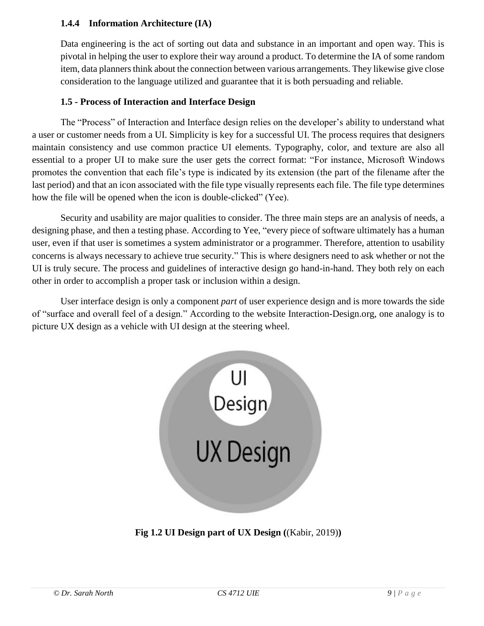#### **1.4.4 Information Architecture (IA)**

Data engineering is the act of sorting out data and substance in an important and open way. This is pivotal in helping the user to explore their way around a product. To determine the IA of some random item, data planners think about the connection between various arrangements. They likewise give close consideration to the language utilized and guarantee that it is both persuading and reliable.

### **1.5 - Process of Interaction and Interface Design**

The "Process" of Interaction and Interface design relies on the developer's ability to understand what a user or customer needs from a UI. Simplicity is key for a successful UI. The process requires that designers maintain consistency and use common practice UI elements. Typography, color, and texture are also all essential to a proper UI to make sure the user gets the correct format: "For instance, Microsoft Windows promotes the convention that each file's type is indicated by its extension (the part of the filename after the last period) and that an icon associated with the file type visually represents each file. The file type determines how the file will be opened when the icon is double-clicked" (Yee).

Security and usability are major qualities to consider. The three main steps are an analysis of needs, a designing phase, and then a testing phase. According to Yee, "every piece of software ultimately has a human user, even if that user is sometimes a system administrator or a programmer. Therefore, attention to usability concerns is always necessary to achieve true security." This is where designers need to ask whether or not the UI is truly secure. The process and guidelines of interactive design go hand-in-hand. They both rely on each other in order to accomplish a proper task or inclusion within a design.

User interface design is only a component *part* of user experience design and is more towards the side of "surface and overall feel of a design." According to the website Interaction-Design.org, one analogy is to picture UX design as a vehicle with UI design at the steering wheel.



**Fig 1.2 UI Design part of UX Design (**(Kabir, 2019)**)**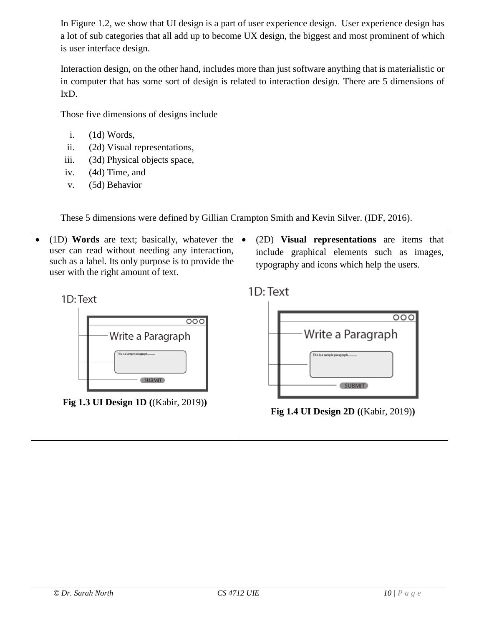In Figure 1.2, we show that UI design is a part of user experience design. User experience design has a lot of sub categories that all add up to become UX design, the biggest and most prominent of which is user interface design.

Interaction design, on the other hand, includes more than just software anything that is materialistic or in computer that has some sort of design is related to interaction design. There are 5 dimensions of IxD.

Those five dimensions of designs include

- i. (1d) Words,
- ii. (2d) Visual representations,
- iii. (3d) Physical objects space,
- iv. (4d) Time, and
- v. (5d) Behavior

These 5 dimensions were defined by Gillian Crampton Smith and Kevin Silver. (IDF, 2016).

 (1D) **Words** are text; basically, whatever the user can read without needing any interaction, such as a label. Its only purpose is to provide the user with the right amount of text.

1D: Text



**Fig 1.3 UI Design 1D (**(Kabir, 2019)**)**

 (2D) **Visual representations** are items that include graphical elements such as images, typography and icons which help the users.

1D: Text



**Fig 1.4 UI Design 2D (**(Kabir, 2019)**)**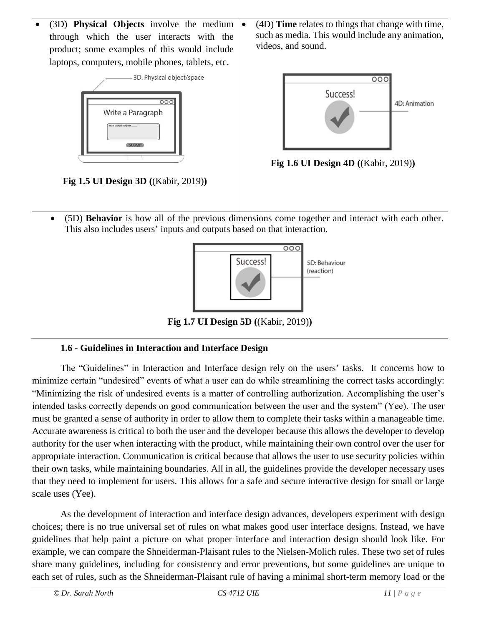(3D) **Physical Objects** involve the medium through which the user interacts with the product; some examples of this would include laptops, computers, mobile phones, tablets, etc.



**Fig 1.5 UI Design 3D (**(Kabir, 2019)**)**

 (4D) **Time** relates to things that change with time, such as media. This would include any animation, videos, and sound.



**Fig 1.6 UI Design 4D (**(Kabir, 2019)**)**

 (5D) **Behavior** is how all of the previous dimensions come together and interact with each other. This also includes users' inputs and outputs based on that interaction.



**Fig 1.7 UI Design 5D (**(Kabir, 2019)**)**

# **1.6 - Guidelines in Interaction and Interface Design**

The "Guidelines" in Interaction and Interface design rely on the users' tasks. It concerns how to minimize certain "undesired" events of what a user can do while streamlining the correct tasks accordingly: "Minimizing the risk of undesired events is a matter of controlling authorization. Accomplishing the user's intended tasks correctly depends on good communication between the user and the system" (Yee). The user must be granted a sense of authority in order to allow them to complete their tasks within a manageable time. Accurate awareness is critical to both the user and the developer because this allows the developer to develop authority for the user when interacting with the product, while maintaining their own control over the user for appropriate interaction. Communication is critical because that allows the user to use security policies within their own tasks, while maintaining boundaries. All in all, the guidelines provide the developer necessary uses that they need to implement for users. This allows for a safe and secure interactive design for small or large scale uses (Yee).

As the development of interaction and interface design advances, developers experiment with design choices; there is no true universal set of rules on what makes good user interface designs. Instead, we have guidelines that help paint a picture on what proper interface and interaction design should look like. For example, we can compare the Shneiderman-Plaisant rules to the Nielsen-Molich rules. These two set of rules share many guidelines, including for consistency and error preventions, but some guidelines are unique to each set of rules, such as the Shneiderman-Plaisant rule of having a minimal short-term memory load or the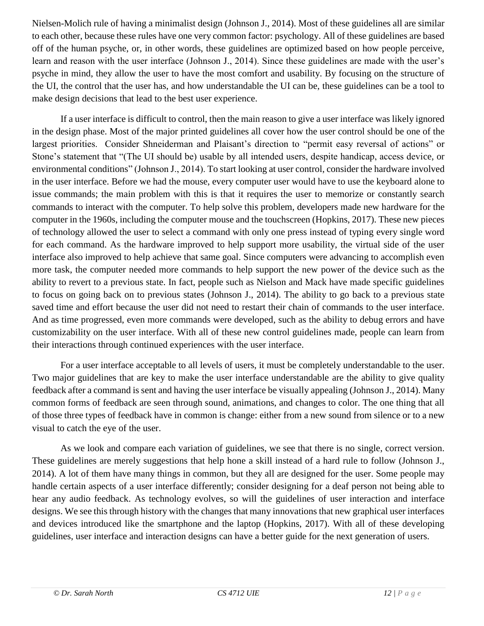Nielsen-Molich rule of having a minimalist design (Johnson J., 2014). Most of these guidelines all are similar to each other, because these rules have one very common factor: psychology. All of these guidelines are based off of the human psyche, or, in other words, these guidelines are optimized based on how people perceive, learn and reason with the user interface (Johnson J., 2014). Since these guidelines are made with the user's psyche in mind, they allow the user to have the most comfort and usability. By focusing on the structure of the UI, the control that the user has, and how understandable the UI can be, these guidelines can be a tool to make design decisions that lead to the best user experience.

If a user interface is difficult to control, then the main reason to give a user interface was likely ignored in the design phase. Most of the major printed guidelines all cover how the user control should be one of the largest priorities. Consider Shneiderman and Plaisant's direction to "permit easy reversal of actions" or Stone's statement that "(The UI should be) usable by all intended users, despite handicap, access device, or environmental conditions" (Johnson J., 2014). To start looking at user control, consider the hardware involved in the user interface. Before we had the mouse, every computer user would have to use the keyboard alone to issue commands; the main problem with this is that it requires the user to memorize or constantly search commands to interact with the computer. To help solve this problem, developers made new hardware for the computer in the 1960s, including the computer mouse and the touchscreen (Hopkins, 2017). These new pieces of technology allowed the user to select a command with only one press instead of typing every single word for each command. As the hardware improved to help support more usability, the virtual side of the user interface also improved to help achieve that same goal. Since computers were advancing to accomplish even more task, the computer needed more commands to help support the new power of the device such as the ability to revert to a previous state. In fact, people such as Nielson and Mack have made specific guidelines to focus on going back on to previous states (Johnson J., 2014). The ability to go back to a previous state saved time and effort because the user did not need to restart their chain of commands to the user interface. And as time progressed, even more commands were developed, such as the ability to debug errors and have customizability on the user interface. With all of these new control guidelines made, people can learn from their interactions through continued experiences with the user interface.

For a user interface acceptable to all levels of users, it must be completely understandable to the user. Two major guidelines that are key to make the user interface understandable are the ability to give quality feedback after a command is sent and having the user interface be visually appealing (Johnson J., 2014). Many common forms of feedback are seen through sound, animations, and changes to color. The one thing that all of those three types of feedback have in common is change: either from a new sound from silence or to a new visual to catch the eye of the user.

As we look and compare each variation of guidelines, we see that there is no single, correct version. These guidelines are merely suggestions that help hone a skill instead of a hard rule to follow (Johnson J., 2014). A lot of them have many things in common, but they all are designed for the user. Some people may handle certain aspects of a user interface differently; consider designing for a deaf person not being able to hear any audio feedback. As technology evolves, so will the guidelines of user interaction and interface designs. We see this through history with the changes that many innovations that new graphical user interfaces and devices introduced like the smartphone and the laptop (Hopkins, 2017). With all of these developing guidelines, user interface and interaction designs can have a better guide for the next generation of users.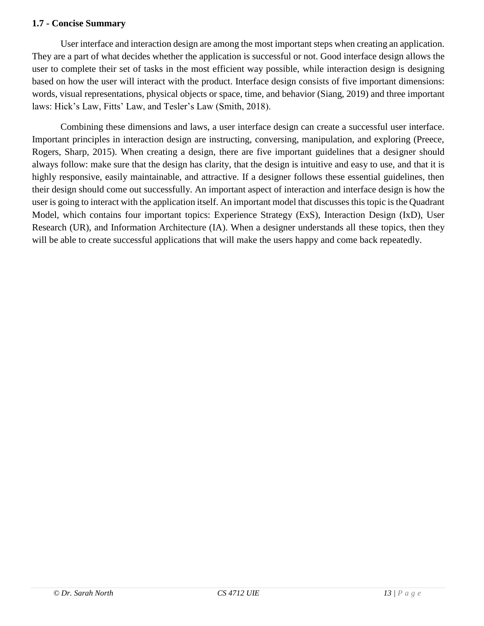#### **1.7 - Concise Summary**

User interface and interaction design are among the most important steps when creating an application. They are a part of what decides whether the application is successful or not. Good interface design allows the user to complete their set of tasks in the most efficient way possible, while interaction design is designing based on how the user will interact with the product. Interface design consists of five important dimensions: words, visual representations, physical objects or space, time, and behavior (Siang, 2019) and three important laws: Hick's Law, Fitts' Law, and Tesler's Law (Smith, 2018).

Combining these dimensions and laws, a user interface design can create a successful user interface. Important principles in interaction design are instructing, conversing, manipulation, and exploring (Preece, Rogers, Sharp, 2015). When creating a design, there are five important guidelines that a designer should always follow: make sure that the design has clarity, that the design is intuitive and easy to use, and that it is highly responsive, easily maintainable, and attractive. If a designer follows these essential guidelines, then their design should come out successfully. An important aspect of interaction and interface design is how the user is going to interact with the application itself. An important model that discusses this topic is the Quadrant Model, which contains four important topics: Experience Strategy (ExS), Interaction Design (IxD), User Research (UR), and Information Architecture (IA). When a designer understands all these topics, then they will be able to create successful applications that will make the users happy and come back repeatedly.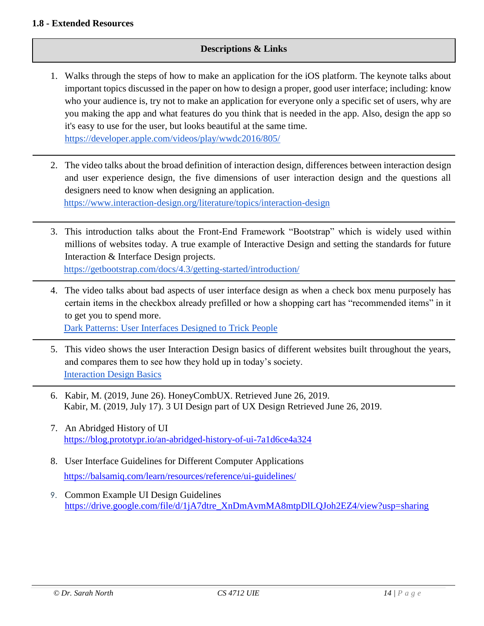#### **1.8 - Extended Resources**

#### **Descriptions & Links**

- 1. Walks through the steps of how to make an application for the iOS platform. The keynote talks about important topics discussed in the paper on how to design a proper, good user interface; including: know who your audience is, try not to make an application for everyone only a specific set of users, why are you making the app and what features do you think that is needed in the app. Also, design the app so it's easy to use for the user, but looks beautiful at the same time. <https://developer.apple.com/videos/play/wwdc2016/805/>
- 2. The video talks about the broad definition of interaction design, differences between interaction design and user experience design, the five dimensions of user interaction design and the questions all designers need to know when designing an application. <https://www.interaction-design.org/literature/topics/interaction-design>
- 3. This introduction talks about the Front-End Framework "Bootstrap" which is widely used within millions of websites today. A true example of Interactive Design and setting the standards for future Interaction & Interface Design projects. <https://getbootstrap.com/docs/4.3/getting-started/introduction/>
- 4. The video talks about bad aspects of user interface design as when a check box menu purposely has certain items in the checkbox already prefilled or how a shopping cart has "recommended items" in it to get you to spend more.

[Dark Patterns: User Interfaces Designed to Trick People](https://www.youtube.com/watch?time_continue=17&v=1KVyFio8gw4)

- 5. This video shows the user Interaction Design basics of different websites built throughout the years, and compares them to see how they hold up in today's society. [Interaction Design Basics](https://www.youtube.com/watch?v=G0QWA0sdyM8)
- 6. Kabir, M. (2019, June 26). HoneyCombUX. Retrieved June 26, 2019. Kabir, M. (2019, July 17). 3 UI Design part of UX Design Retrieved June 26, 2019.
- 7. An Abridged History of UI <https://blog.prototypr.io/an-abridged-history-of-ui-7a1d6ce4a324>
- 8. User Interface Guidelines for Different Computer Applications <https://balsamiq.com/learn/resources/reference/ui-guidelines/>
- 9. Common Example UI Design Guidelines [https://drive.google.com/file/d/1jA7dtre\\_XnDmAvmMA8mtpDlLQJoh2EZ4/view?usp=sharing](https://drive.google.com/file/d/1jA7dtre_XnDmAvmMA8mtpDlLQJoh2EZ4/view?usp=sharing)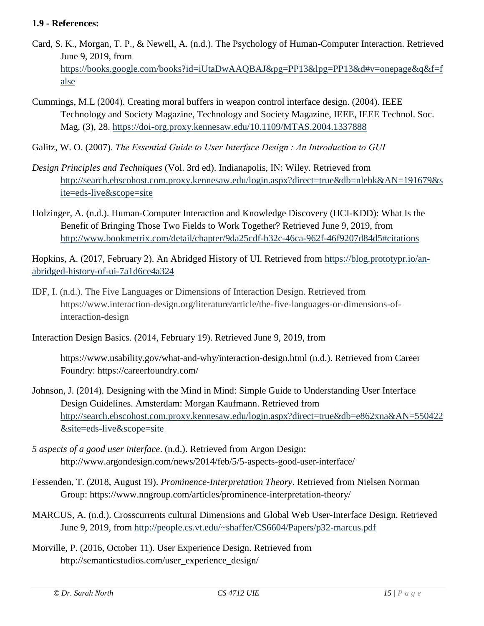#### **1.9 - References:**

- Card, S. K., Morgan, T. P., & Newell, A. (n.d.). The Psychology of Human-Computer Interaction. Retrieved June 9, 2019, from [https://books.google.com/books?id=iUtaDwAAQBAJ&pg=PP13&lpg=PP13&d#v=onepage&q&f=f](https://books.google.com/books?id=iUtaDwAAQBAJ&pg=PP13&lpg=PP13&d#v=onepage&q&f=false) [alse](https://books.google.com/books?id=iUtaDwAAQBAJ&pg=PP13&lpg=PP13&d#v=onepage&q&f=false)
- Cummings, M.L (2004). Creating moral buffers in weapon control interface design. (2004). IEEE Technology and Society Magazine, Technology and Society Magazine, IEEE, IEEE Technol. Soc. Mag, (3), 28.<https://doi-org.proxy.kennesaw.edu/10.1109/MTAS.2004.1337888>
- Galitz, W. O. (2007). *The Essential Guide to User Interface Design : An Introduction to GUI*
- *Design Principles and Techniques* (Vol. 3rd ed). Indianapolis, IN: Wiley. Retrieved from [http://search.ebscohost.com.proxy.kennesaw.edu/login.aspx?direct=true&db=nlebk&AN=191679&s](http://search.ebscohost.com.proxy.kennesaw.edu/login.aspx?direct=true&db=nlebk&AN=191679&site=eds-live&scope=site) [ite=eds-live&scope=site](http://search.ebscohost.com.proxy.kennesaw.edu/login.aspx?direct=true&db=nlebk&AN=191679&site=eds-live&scope=site)
- Holzinger, A. (n.d.). Human-Computer Interaction and Knowledge Discovery (HCI-KDD): What Is the Benefit of Bringing Those Two Fields to Work Together? Retrieved June 9, 2019, from <http://www.bookmetrix.com/detail/chapter/9da25cdf-b32c-46ca-962f-46f9207d84d5#citations>

Hopkins, A. (2017, February 2). An Abridged History of UI. Retrieved from [https://blog.prototypr.io/an](https://blog.prototypr.io/an-abridged-history-of-ui-7a1d6ce4a324)[abridged-history-of-ui-7a1d6ce4a324](https://blog.prototypr.io/an-abridged-history-of-ui-7a1d6ce4a324)

IDF, I. (n.d.). The Five Languages or Dimensions of Interaction Design. Retrieved from https://www.interaction-design.org/literature/article/the-five-languages-or-dimensions-ofinteraction-design

Interaction Design Basics. (2014, February 19). Retrieved June 9, 2019, from

https://www.usability.gov/what-and-why/interaction-design.html (n.d.). Retrieved from Career Foundry: https://careerfoundry.com/

- Johnson, J. (2014). Designing with the Mind in Mind: Simple Guide to Understanding User Interface Design Guidelines. Amsterdam: Morgan Kaufmann. Retrieved from [http://search.ebscohost.com.proxy.kennesaw.edu/login.aspx?direct=true&db=e862xna&AN=550422](http://search.ebscohost.com.proxy.kennesaw.edu/login.aspx?direct=true&db=e862xna&AN=550422&site=eds-live&scope=site) [&site=eds-live&scope=site](http://search.ebscohost.com.proxy.kennesaw.edu/login.aspx?direct=true&db=e862xna&AN=550422&site=eds-live&scope=site)
- *5 aspects of a good user interface*. (n.d.). Retrieved from Argon Design: http://www.argondesign.com/news/2014/feb/5/5-aspects-good-user-interface/
- Fessenden, T. (2018, August 19). *Prominence-Interpretation Theory*. Retrieved from Nielsen Norman Group: https://www.nngroup.com/articles/prominence-interpretation-theory/
- MARCUS, A. (n.d.). Crosscurrents cultural Dimensions and Global Web User-Interface Design. Retrieved June 9, 2019, from<http://people.cs.vt.edu/~shaffer/CS6604/Papers/p32-marcus.pdf>
- Morville, P. (2016, October 11). User Experience Design. Retrieved from http://semanticstudios.com/user\_experience\_design/